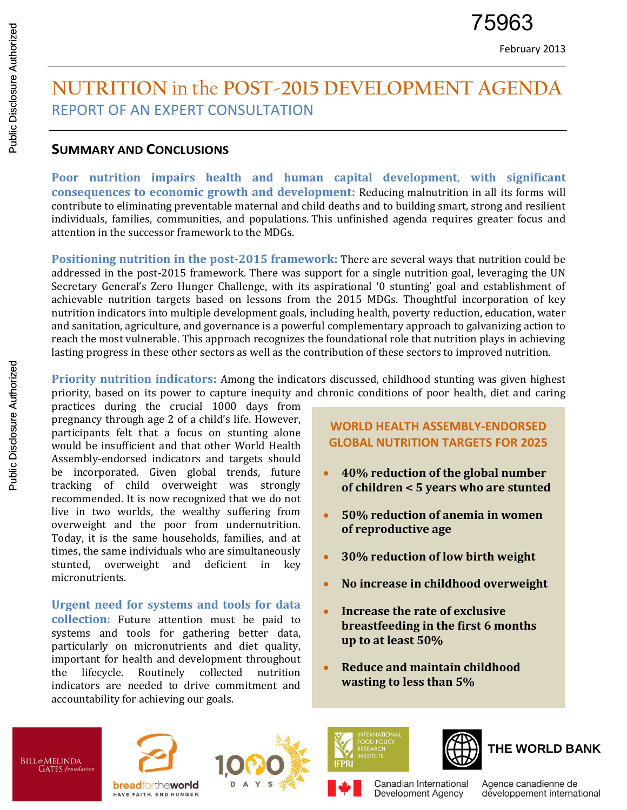# **NUTRITION** in the **POST-2015 DEVELOPMENT AGENDA** REPORT OF AN EXPERT CONSULTATION

#### **SUMMARY AND CONCLUSIONS**

**Poor nutrition impairs health and human capital development**, **with significant consequences to economic growth and development:** Reducing malnutrition in all its forms will contribute to eliminating preventable maternal and child deaths and to building smart, strong and resilient individuals, families, communities, and populations. This unfinished agenda requires greater focus and attention in the successor framework to the MDGs.

**Positioning nutrition in the post-2015 framework:** There are several ways that nutrition could be addressed in the post-2015 framework. There was support for a single nutrition goal, leveraging the UN Secretary General's Zero Hunger Challenge, with its aspirational '0 stunting' goal and establishment of achievable nutrition targets based on lessons from the 2015 MDGs. Thoughtful incorporation of key nutrition indicators into multiple development goals, including health, poverty reduction, education, water and sanitation, agriculture, and governance is a powerful complementary approach to galvanizing action to reach the most vulnerable. This approach recognizes the foundational role that nutrition plays in achieving lasting progress in these other sectors as well as the contribution of these sectors to improved nutrition.

**Priority nutrition indicators:** Among the indicators discussed, childhood stunting was given highest priority, based on its power to capture inequity and chronic conditions of poor health, diet and caring

practices during the crucial 1000 days from pregnancy through age 2 of a child's life. However, participants felt that a focus on stunting alone would be insufficient and that other World Health Assembly-endorsed indicators and targets should be incorporated. Given global trends, future tracking of child overweight was strongly recommended. It is now recognized that we do not live in two worlds, the wealthy suffering from overweight and the poor from undernutrition. Today, it is the same households, families, and at times, the same individuals who are simultaneously stunted, overweight and deficient in key micronutrients.

**Urgent need for systems and tools for data collection:** Future attention must be paid to systems and tools for gathering better data, particularly on micronutrients and diet quality, important for health and development throughout the lifecycle. Routinely collected nutrition indicators are needed to drive commitment and accountability for achieving our goals.

#### **WORLD HEALTH ASSEMBLY-ENDORSED GLOBAL NUTRITION TARGETS FOR 2025**

- **40% reduction of the global number of children < 5 years who are stunted**
- **50% reduction of anemia in women of reproductive age**
- **30% reduction of low birth weight**
- **No increase in childhood overweight**
- **Increase the rate of exclusive breastfeeding in the first 6 months up to at least 50%**
- **Reduce and maintain childhood wasting to less than 5%**

Canadian International

Development Agency



**breadfortheworld** HAVE FAITH. END HUNGER.







Agence canadienne de développement international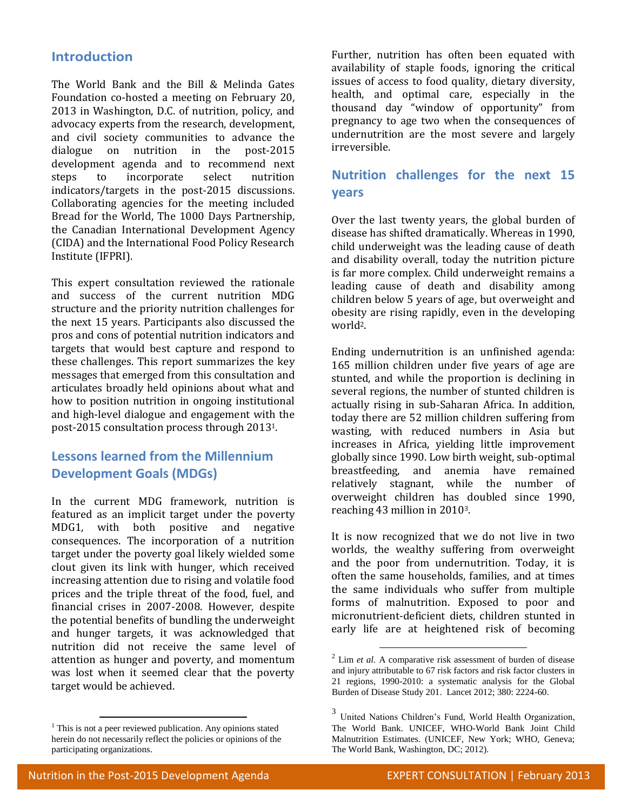#### **Introduction**

The World Bank and the Bill & Melinda Gates Foundation co-hosted a meeting on February 20, 2013 in Washington, D.C. of nutrition, policy, and advocacy experts from the research, development, and civil society communities to advance the dialogue on nutrition in the post-2015 development agenda and to recommend next steps to incorporate select nutrition indicators/targets in the post-2015 discussions. Collaborating agencies for the meeting included Bread for the World, The 1000 Days Partnership, the Canadian International Development Agency (CIDA) and the International Food Policy Research Institute (IFPRI).

This expert consultation reviewed the rationale and success of the current nutrition MDG structure and the priority nutrition challenges for the next 15 years. Participants also discussed the pros and cons of potential nutrition indicators and targets that would best capture and respond to these challenges. This report summarizes the key messages that emerged from this consultation and articulates broadly held opinions about what and how to position nutrition in ongoing institutional and high-level dialogue and engagement with the post-2015 consultation process through 20131.

## **Lessons learned from the Millennium Development Goals (MDGs)**

In the current MDG framework, nutrition is featured as an implicit target under the poverty MDG1, with both positive and negative consequences. The incorporation of a nutrition target under the poverty goal likely wielded some clout given its link with hunger, which received increasing attention due to rising and volatile food prices and the triple threat of the food, fuel, and financial crises in 2007-2008. However, despite the potential benefits of bundling the underweight and hunger targets, it was acknowledged that nutrition did not receive the same level of attention as hunger and poverty, and momentum was lost when it seemed clear that the poverty target would be achieved.

Further, nutrition has often been equated with availability of staple foods, ignoring the critical issues of access to food quality, dietary diversity, health, and optimal care, especially in the thousand day "window of opportunity" from pregnancy to age two when the consequences of undernutrition are the most severe and largely irreversible.

## **Nutrition challenges for the next 15 years**

Over the last twenty years, the global burden of disease has shifted dramatically. Whereas in 1990, child underweight was the leading cause of death and disability overall, today the nutrition picture is far more complex. Child underweight remains a leading cause of death and disability among children below 5 years of age, but overweight and obesity are rising rapidly, even in the developing world2.

Ending undernutrition is an unfinished agenda: 165 million children under five years of age are stunted, and while the proportion is declining in several regions, the number of stunted children is actually rising in sub-Saharan Africa. In addition, today there are 52 million children suffering from wasting, with reduced numbers in Asia but increases in Africa, yielding little improvement globally since 1990. Low birth weight, sub-optimal breastfeeding, and anemia have remained relatively stagnant, while the number of overweight children has doubled since 1990, reaching 43 million in 20103.

It is now recognized that we do not live in two worlds, the wealthy suffering from overweight and the poor from undernutrition. Today, it is often the same households, families, and at times the same individuals who suffer from multiple forms of malnutrition. Exposed to poor and micronutrient-deficient diets, children stunted in early life are at heightened risk of becoming

1

 $\overline{a}$ 

 $<sup>1</sup>$  This is not a peer reviewed publication. Any opinions stated</sup> herein do not necessarily reflect the policies or opinions of the participating organizations.

 $2$  Lim *et al.* A comparative risk assessment of burden of disease and injury attributable to 67 risk factors and risk factor clusters in 21 regions, 1990-2010: a systematic analysis for the Global Burden of Disease Study 201. Lancet 2012; 380: 2224-60.

<sup>3</sup> United Nations Children's Fund, World Health Organization, The World Bank. UNICEF, WHO-World Bank Joint Child Malnutrition Estimates. (UNICEF, New York; WHO, Geneva; The World Bank, Washington, DC; 2012).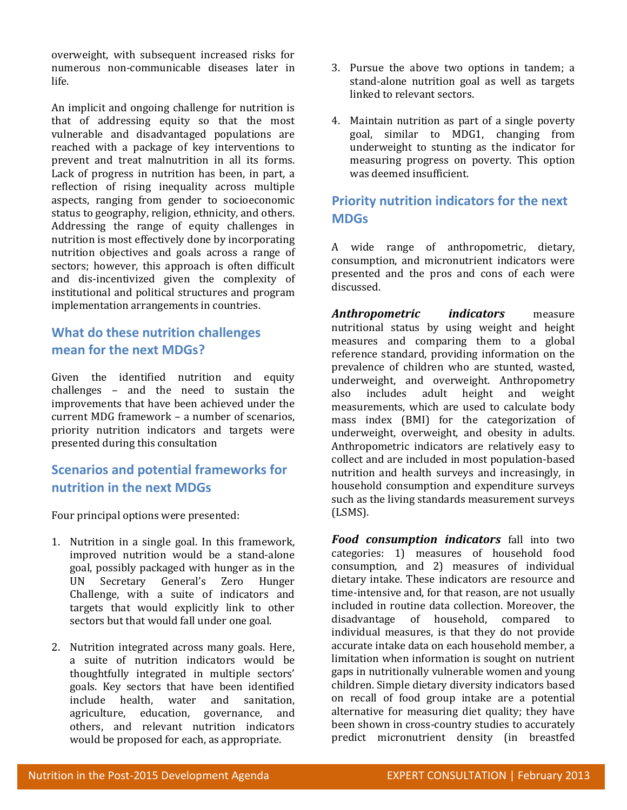overweight, with subsequent increased risks for numerous non-communicable diseases later in life.

An implicit and ongoing challenge for nutrition is that of addressing equity so that the most vulnerable and disadvantaged populations are reached with a package of key interventions to prevent and treat malnutrition in all its forms. Lack of progress in nutrition has been, in part, a reflection of rising inequality across multiple aspects, ranging from gender to socioeconomic status to geography, religion, ethnicity, and others. Addressing the range of equity challenges in nutrition is most effectively done by incorporating nutrition objectives and goals across a range of sectors; however, this approach is often difficult and dis-incentivized given the complexity of institutional and political structures and program implementation arrangements in countries.

# **What do these nutrition challenges mean for the next MDGs?**

Given the identified nutrition and equity challenges – and the need to sustain the improvements that have been achieved under the current MDG framework – a number of scenarios, priority nutrition indicators and targets were presented during this consultation

## **Scenarios and potential frameworks for nutrition in the next MDGs**

Four principal options were presented:

- 1. Nutrition in a single goal. In this framework, improved nutrition would be a stand-alone goal, possibly packaged with hunger as in the UN Secretary General's Zero Hunger Challenge, with a suite of indicators and targets that would explicitly link to other sectors but that would fall under one goal.
- 2. Nutrition integrated across many goals. Here, a suite of nutrition indicators would be thoughtfully integrated in multiple sectors' goals. Key sectors that have been identified include health, water and sanitation, agriculture, education, governance, and others, and relevant nutrition indicators would be proposed for each, as appropriate.
- 3. Pursue the above two options in tandem; a stand-alone nutrition goal as well as targets linked to relevant sectors.
- 4. Maintain nutrition as part of a single poverty goal, similar to MDG1, changing from underweight to stunting as the indicator for measuring progress on poverty. This option was deemed insufficient.

## **Priority nutrition indicators for the next MDGs**

A wide range of anthropometric, dietary, consumption, and micronutrient indicators were presented and the pros and cons of each were discussed.

*Anthropometric indicators* measure nutritional status by using weight and height measures and comparing them to a global reference standard, providing information on the prevalence of children who are stunted, wasted, underweight, and overweight. Anthropometry also includes adult height and weight measurements, which are used to calculate body mass index (BMI) for the categorization of underweight, overweight, and obesity in adults. Anthropometric indicators are relatively easy to collect and are included in most population-based nutrition and health surveys and increasingly, in household consumption and expenditure surveys such as the living standards measurement surveys (LSMS).

*Food consumption indicators* fall into two categories: 1) measures of household food consumption, and 2) measures of individual dietary intake. These indicators are resource and time-intensive and, for that reason, are not usually included in routine data collection. Moreover, the disadvantage of household, compared to individual measures, is that they do not provide accurate intake data on each household member, a limitation when information is sought on nutrient gaps in nutritionally vulnerable women and young children. Simple dietary diversity indicators based on recall of food group intake are a potential alternative for measuring diet quality; they have been shown in cross-country studies to accurately predict micronutrient density (in breastfed